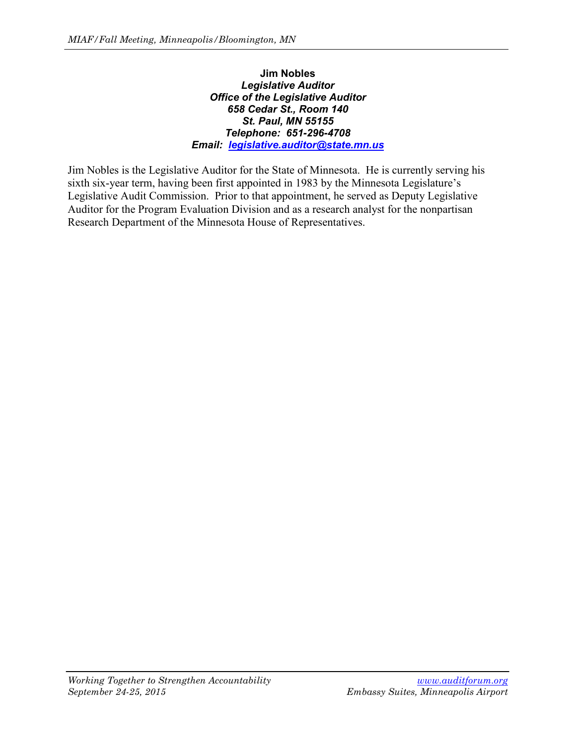# **Jim Nobles** *Legislative Auditor Office of the Legislative Auditor 658 Cedar St., Room 140 St. Paul, MN 55155 Telephone: 651-296-4708 Email: [legislative.auditor@state.mn.us](mailto:legislative.auditor@state.mn.us)*

Jim Nobles is the Legislative Auditor for the State of Minnesota. He is currently serving his sixth six-year term, having been first appointed in 1983 by the Minnesota Legislature's Legislative Audit Commission. Prior to that appointment, he served as Deputy Legislative Auditor for the Program Evaluation Division and as a research analyst for the nonpartisan Research Department of the Minnesota House of Representatives.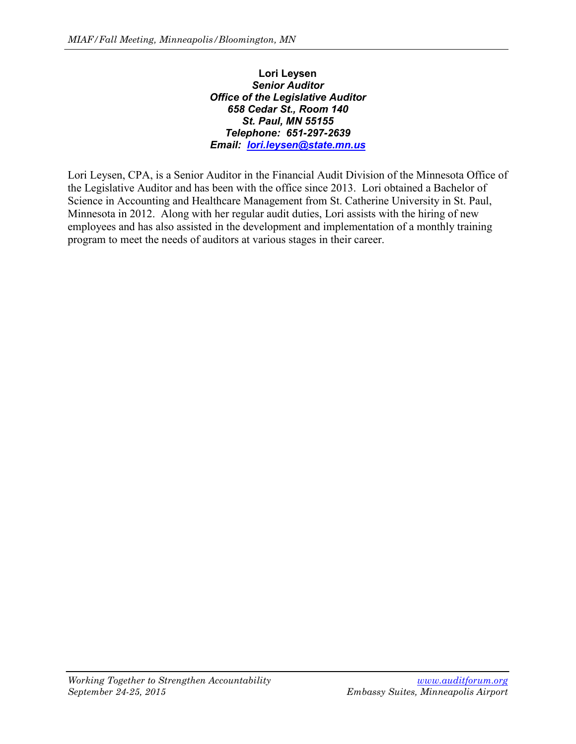# **Lori Leysen** *Senior Auditor Office of the Legislative Auditor 658 Cedar St., Room 140 St. Paul, MN 55155 Telephone: 651-297-2639 Email: [lori.leysen@state.mn.us](mailto:lori.leysen@state.mn.us)*

Lori Leysen, CPA, is a Senior Auditor in the Financial Audit Division of the Minnesota Office of the Legislative Auditor and has been with the office since 2013. Lori obtained a Bachelor of Science in Accounting and Healthcare Management from St. Catherine University in St. Paul, Minnesota in 2012. Along with her regular audit duties, Lori assists with the hiring of new employees and has also assisted in the development and implementation of a monthly training program to meet the needs of auditors at various stages in their career.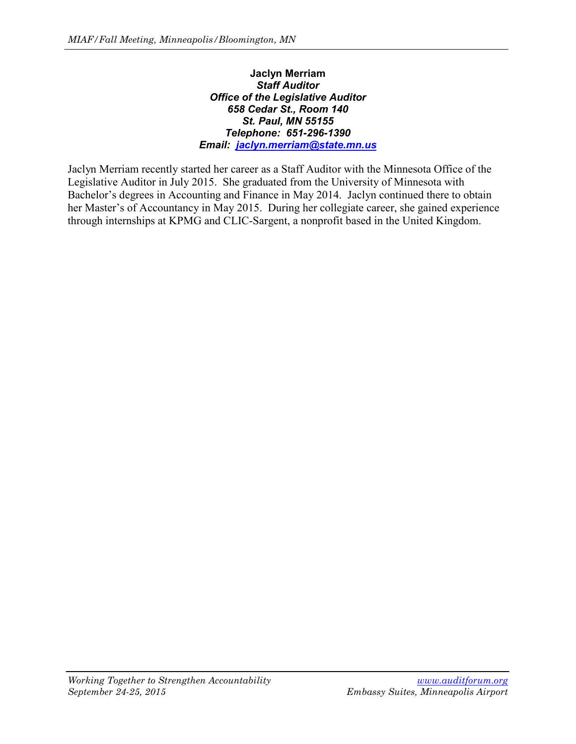# **Jaclyn Merriam** *Staff Auditor Office of the Legislative Auditor 658 Cedar St., Room 140 St. Paul, MN 55155 Telephone: 651-296-1390 Email: [jaclyn.merriam@state.mn.us](mailto:jaclyn.merriam@state.mn.us)*

Jaclyn Merriam recently started her career as a Staff Auditor with the Minnesota Office of the Legislative Auditor in July 2015. She graduated from the University of Minnesota with Bachelor's degrees in Accounting and Finance in May 2014. Jaclyn continued there to obtain her Master's of Accountancy in May 2015. During her collegiate career, she gained experience through internships at KPMG and CLIC-Sargent, a nonprofit based in the United Kingdom.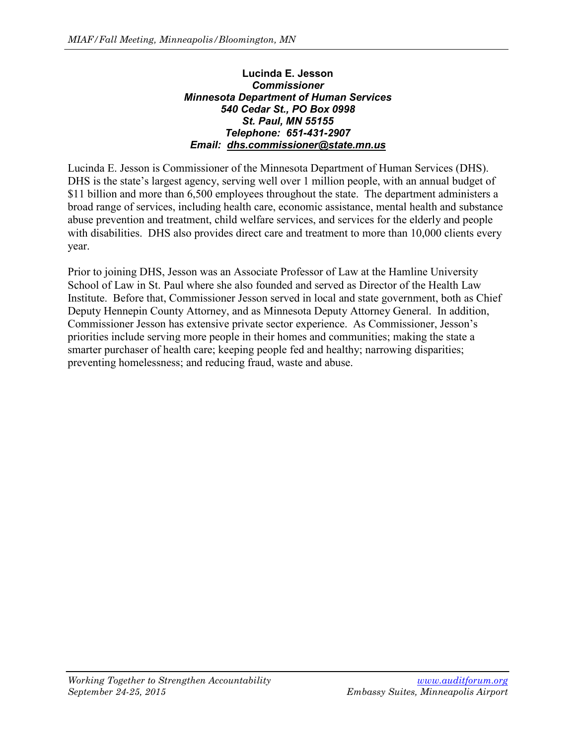# **Lucinda E. Jesson** *Commissioner Minnesota Department of Human Services 540 Cedar St., PO Box 0998 St. Paul, MN 55155 Telephone: 651-431-2907 Email: dhs.commissioner@state.mn.us*

Lucinda E. Jesson is Commissioner of the Minnesota Department of Human Services (DHS). DHS is the state's largest agency, serving well over 1 million people, with an annual budget of \$11 billion and more than 6,500 employees throughout the state. The department administers a broad range of services, including health care, economic assistance, mental health and substance abuse prevention and treatment, child welfare services, and services for the elderly and people with disabilities. DHS also provides direct care and treatment to more than 10,000 clients every year.

Prior to joining DHS, Jesson was an Associate Professor of Law at the Hamline University School of Law in St. Paul where she also founded and served as Director of the Health Law Institute. Before that, Commissioner Jesson served in local and state government, both as Chief Deputy Hennepin County Attorney, and as Minnesota Deputy Attorney General. In addition, Commissioner Jesson has extensive private sector experience. As Commissioner, Jesson's priorities include serving more people in their homes and communities; making the state a smarter purchaser of health care; keeping people fed and healthy; narrowing disparities; preventing homelessness; and reducing fraud, waste and abuse.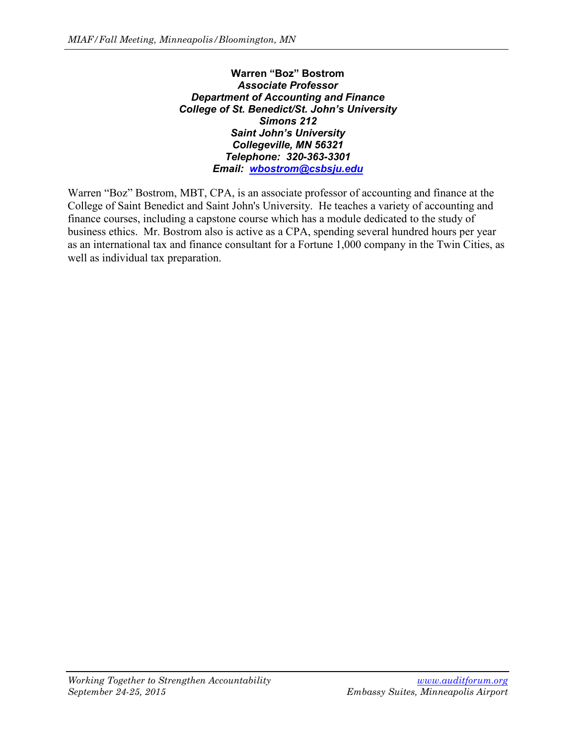**Warren "Boz" Bostrom** *Associate Professor Department of Accounting and Finance College of St. Benedict/St. John's University Simons 212 Saint John's University Collegeville, MN 56321 Telephone: 320-363-3301 Email: [wbostrom@csbsju.edu](mailto:wbostrom@csbsju.edu)*

Warren "Boz" Bostrom, MBT, CPA, is an associate professor of accounting and finance at the College of Saint Benedict and Saint John's University. He teaches a variety of accounting and finance courses, including a capstone course which has a module dedicated to the study of business ethics. Mr. Bostrom also is active as a CPA, spending several hundred hours per year as an international tax and finance consultant for a Fortune 1,000 company in the Twin Cities, as well as individual tax preparation.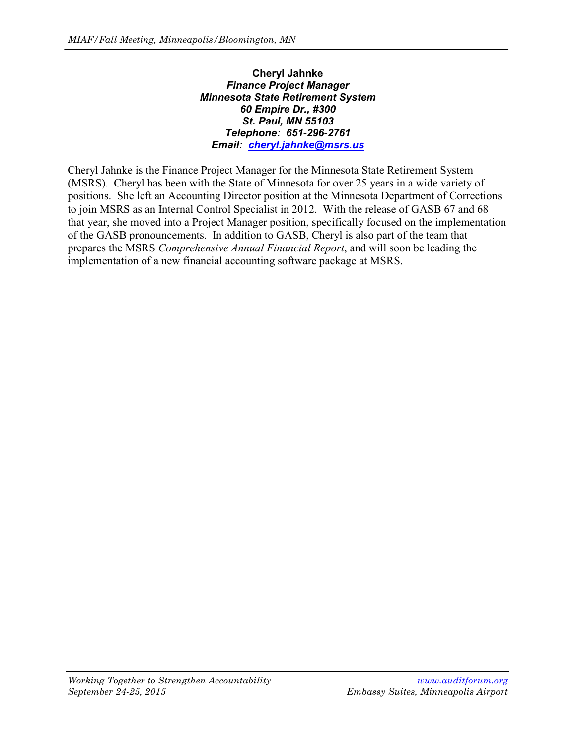# **Cheryl Jahnke** *Finance Project Manager Minnesota State Retirement System 60 Empire Dr., #300 St. Paul, MN 55103 Telephone: 651-296-2761 Email: [cheryl.jahnke@msrs.us](mailto:cheryl.jahnke@msrs.us)*

Cheryl Jahnke is the Finance Project Manager for the Minnesota State Retirement System (MSRS). Cheryl has been with the State of Minnesota for over 25 years in a wide variety of positions. She left an Accounting Director position at the Minnesota Department of Corrections to join MSRS as an Internal Control Specialist in 2012. With the release of GASB 67 and 68 that year, she moved into a Project Manager position, specifically focused on the implementation of the GASB pronouncements. In addition to GASB, Cheryl is also part of the team that prepares the MSRS *Comprehensive Annual Financial Report*, and will soon be leading the implementation of a new financial accounting software package at MSRS.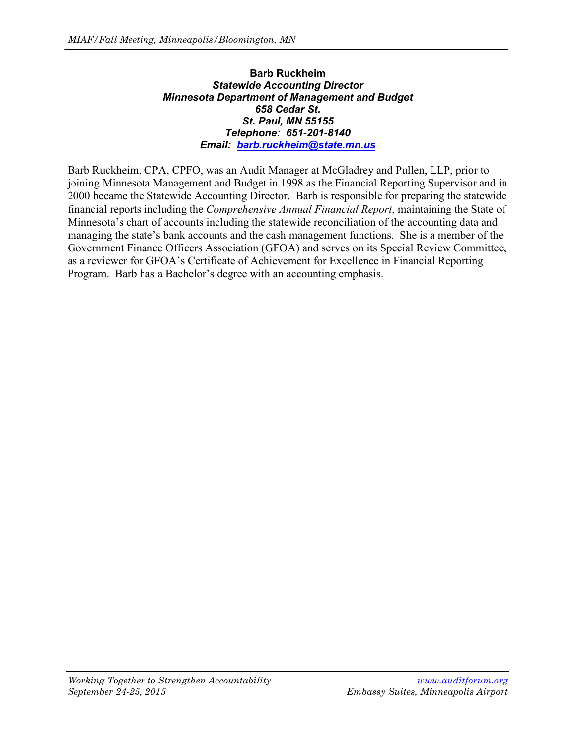# **Barb Ruckheim** *Statewide Accounting Director Minnesota Department of Management and Budget 658 Cedar St. St. Paul, MN 55155 Telephone: 651-201-8140 Email: [barb.ruckheim@state.mn.us](mailto:barb.ruckheim@state.mn.us)*

Barb Ruckheim, CPA, CPFO, was an Audit Manager at McGladrey and Pullen, LLP, prior to joining Minnesota Management and Budget in 1998 as the Financial Reporting Supervisor and in 2000 became the Statewide Accounting Director. Barb is responsible for preparing the statewide financial reports including the *Comprehensive Annual Financial Report*, maintaining the State of Minnesota's chart of accounts including the statewide reconciliation of the accounting data and managing the state's bank accounts and the cash management functions. She is a member of the Government Finance Officers Association (GFOA) and serves on its Special Review Committee, as a reviewer for GFOA's Certificate of Achievement for Excellence in Financial Reporting Program. Barb has a Bachelor's degree with an accounting emphasis.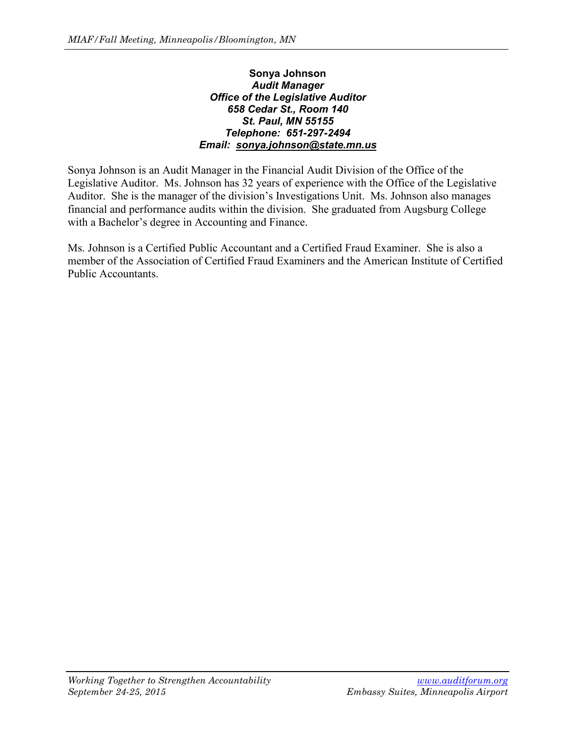# **Sonya Johnson** *Audit Manager Office of the Legislative Auditor 658 Cedar St., Room 140 St. Paul, MN 55155 Telephone: 651-297-2494 Email: sonya.johnson@state.mn.us*

Sonya Johnson is an Audit Manager in the Financial Audit Division of the Office of the Legislative Auditor. Ms. Johnson has 32 years of experience with the Office of the Legislative Auditor. She is the manager of the division's Investigations Unit. Ms. Johnson also manages financial and performance audits within the division. She graduated from Augsburg College with a Bachelor's degree in Accounting and Finance.

Ms. Johnson is a Certified Public Accountant and a Certified Fraud Examiner. She is also a member of the Association of Certified Fraud Examiners and the American Institute of Certified Public Accountants.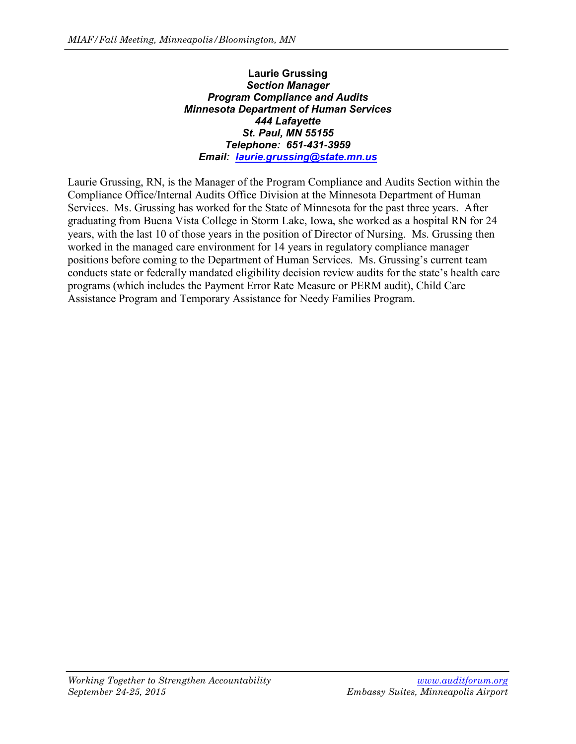#### **Laurie Grussing** *Section Manager Program Compliance and Audits Minnesota Department of Human Services 444 Lafayette St. Paul, MN 55155 Telephone: 651-431-3959 Email: [laurie.grussing@state.mn.us](mailto:laurie.grussing@state.mn.us)*

Laurie Grussing, RN, is the Manager of the Program Compliance and Audits Section within the Compliance Office/Internal Audits Office Division at the Minnesota Department of Human Services. Ms. Grussing has worked for the State of Minnesota for the past three years. After graduating from Buena Vista College in Storm Lake, Iowa, she worked as a hospital RN for 24 years, with the last 10 of those years in the position of Director of Nursing. Ms. Grussing then worked in the managed care environment for 14 years in regulatory compliance manager positions before coming to the Department of Human Services. Ms. Grussing's current team conducts state or federally mandated eligibility decision review audits for the state's health care programs (which includes the Payment Error Rate Measure or PERM audit), Child Care Assistance Program and Temporary Assistance for Needy Families Program.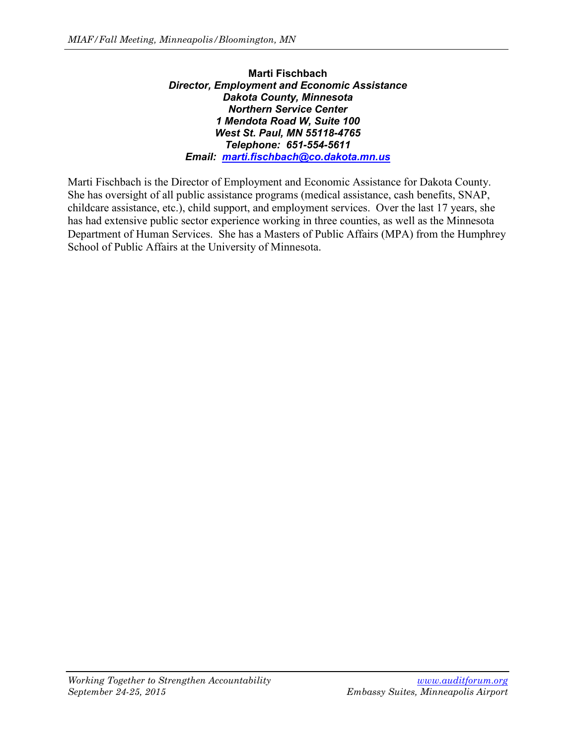### **Marti Fischbach** *Director, Employment and Economic Assistance Dakota County, Minnesota Northern Service Center 1 Mendota Road W, Suite 100 West St. Paul, MN 55118-4765 Telephone: 651-554-5611 Email: [marti.fischbach@co.dakota.mn.us](mailto:marti.fischbach@co.dakota.mn.us)*

Marti Fischbach is the Director of Employment and Economic Assistance for Dakota County. She has oversight of all public assistance programs (medical assistance, cash benefits, SNAP, childcare assistance, etc.), child support, and employment services. Over the last 17 years, she has had extensive public sector experience working in three counties, as well as the Minnesota Department of Human Services. She has a Masters of Public Affairs (MPA) from the Humphrey School of Public Affairs at the University of Minnesota.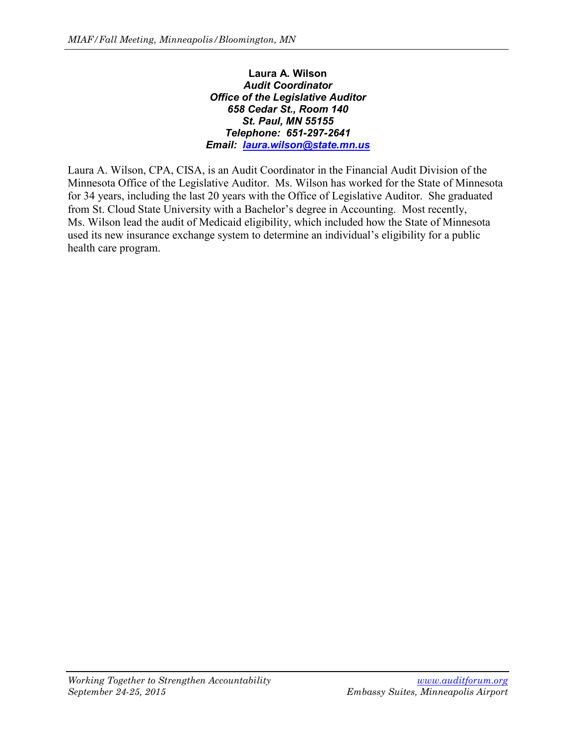# **Laura A. Wilson** *Audit Coordinator Office of the Legislative Auditor 658 Cedar St., Room 140 St. Paul, MN 55155 Telephone: 651-297-2641 Email: [laura.wilson@state.mn.us](mailto:laura.wilson@state.mn.us)*

Laura A. Wilson, CPA, CISA, is an Audit Coordinator in the Financial Audit Division of the Minnesota Office of the Legislative Auditor. Ms. Wilson has worked for the State of Minnesota for 34 years, including the last 20 years with the Office of Legislative Auditor. She graduated from St. Cloud State University with a Bachelor's degree in Accounting. Most recently, Ms. Wilson lead the audit of Medicaid eligibility, which included how the State of Minnesota used its new insurance exchange system to determine an individual's eligibility for a public health care program.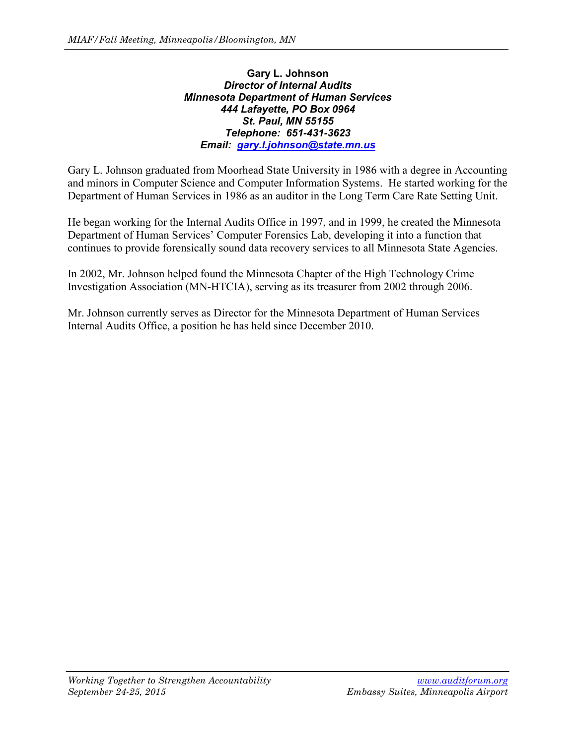# **Gary L. Johnson** *Director of Internal Audits Minnesota Department of Human Services 444 Lafayette, PO Box 0964 St. Paul, MN 55155 Telephone: 651-431-3623 Email: [gary.l.johnson@state.mn.us](mailto:gary.l.johnson@state.mn.us)*

Gary L. Johnson graduated from Moorhead State University in 1986 with a degree in Accounting and minors in Computer Science and Computer Information Systems. He started working for the Department of Human Services in 1986 as an auditor in the Long Term Care Rate Setting Unit.

He began working for the Internal Audits Office in 1997, and in 1999, he created the Minnesota Department of Human Services' Computer Forensics Lab, developing it into a function that continues to provide forensically sound data recovery services to all Minnesota State Agencies.

In 2002, Mr. Johnson helped found the Minnesota Chapter of the High Technology Crime Investigation Association (MN-HTCIA), serving as its treasurer from 2002 through 2006.

Mr. Johnson currently serves as Director for the Minnesota Department of Human Services Internal Audits Office, a position he has held since December 2010.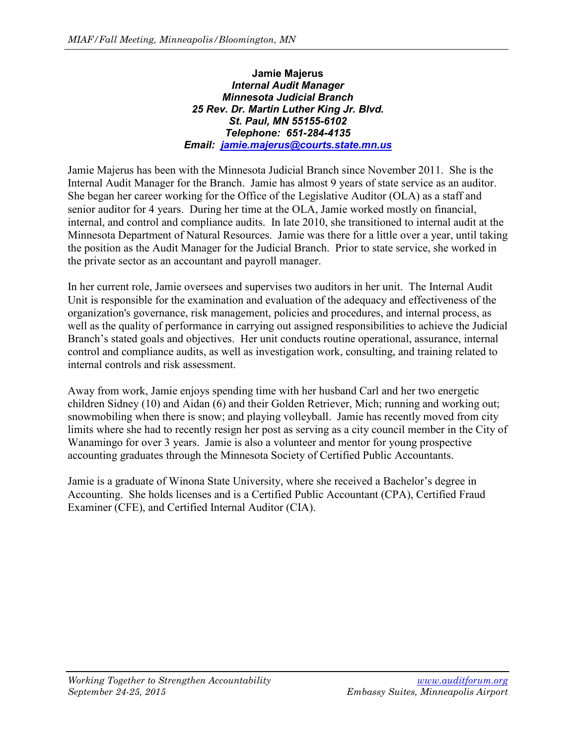# **Jamie Majerus** *Internal Audit Manager Minnesota Judicial Branch 25 Rev. Dr. Martin Luther King Jr. Blvd. St. Paul, MN 55155-6102 Telephone: 651-284-4135 Email: [jamie.majerus@courts.state.mn.us](mailto:jamie.majerus@courts.state.mn.us)*

Jamie Majerus has been with the Minnesota Judicial Branch since November 2011. She is the Internal Audit Manager for the Branch. Jamie has almost 9 years of state service as an auditor. She began her career working for the Office of the Legislative Auditor (OLA) as a staff and senior auditor for 4 years. During her time at the OLA, Jamie worked mostly on financial, internal, and control and compliance audits. In late 2010, she transitioned to internal audit at the Minnesota Department of Natural Resources. Jamie was there for a little over a year, until taking the position as the Audit Manager for the Judicial Branch. Prior to state service, she worked in the private sector as an accountant and payroll manager.

In her current role, Jamie oversees and supervises two auditors in her unit. The Internal Audit Unit is responsible for the examination and evaluation of the adequacy and effectiveness of the organization's governance, risk management, policies and procedures, and internal process, as well as the quality of performance in carrying out assigned responsibilities to achieve the Judicial Branch's stated goals and objectives. Her unit conducts routine operational, assurance, internal control and compliance audits, as well as investigation work, consulting, and training related to internal controls and risk assessment.

Away from work, Jamie enjoys spending time with her husband Carl and her two energetic children Sidney (10) and Aidan (6) and their Golden Retriever, Mich; running and working out; snowmobiling when there is snow; and playing volleyball. Jamie has recently moved from city limits where she had to recently resign her post as serving as a city council member in the City of Wanamingo for over 3 years. Jamie is also a volunteer and mentor for young prospective accounting graduates through the Minnesota Society of Certified Public Accountants.

Jamie is a graduate of Winona State University, where she received a Bachelor's degree in Accounting. She holds licenses and is a Certified Public Accountant (CPA), Certified Fraud Examiner (CFE), and Certified Internal Auditor (CIA).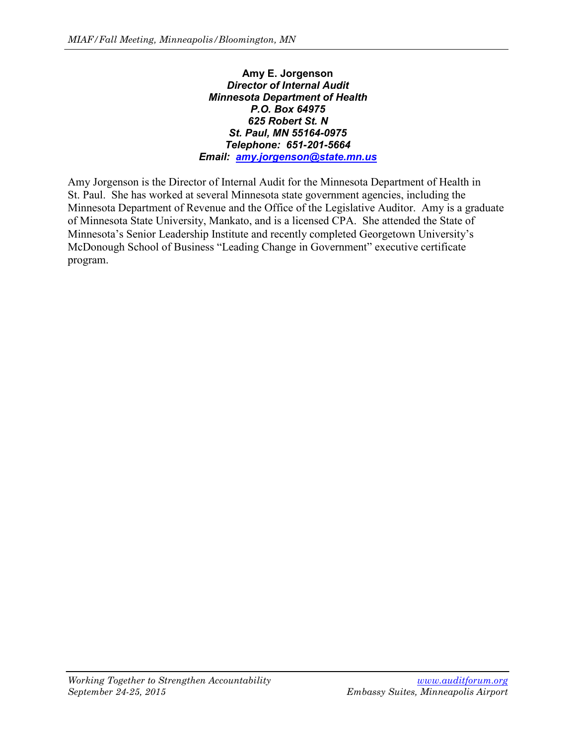### **Amy E. Jorgenson** *Director of Internal Audit Minnesota Department of Health P.O. Box 64975 625 Robert St. N St. Paul, MN 55164-0975 Telephone: 651-201-5664 Email: [amy.jorgenson@state.mn.us](mailto:amy.jorgenson@state.mn.us)*

Amy Jorgenson is the Director of Internal Audit for the Minnesota Department of Health in St. Paul. She has worked at several Minnesota state government agencies, including the Minnesota Department of Revenue and the Office of the Legislative Auditor. Amy is a graduate of Minnesota State University, Mankato, and is a licensed CPA. She attended the State of Minnesota's Senior Leadership Institute and recently completed Georgetown University's McDonough School of Business "Leading Change in Government" executive certificate program.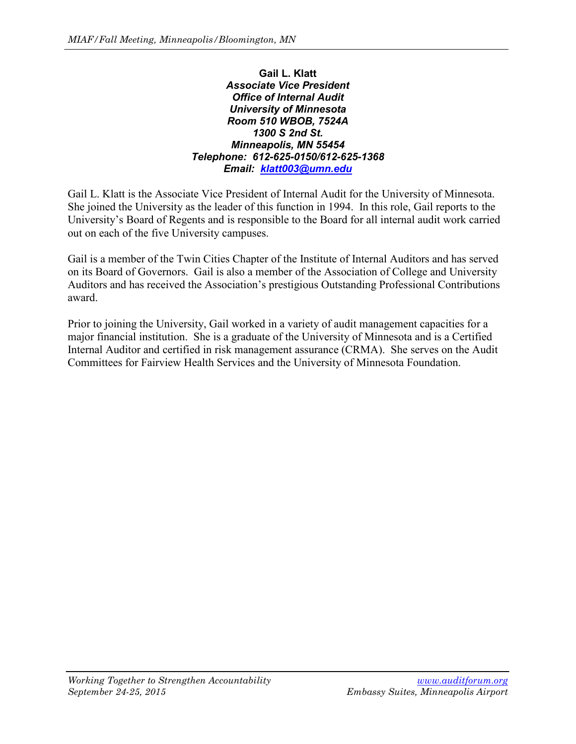## **Gail L. Klatt** *Associate Vice President Office of Internal Audit University of Minnesota Room 510 WBOB, 7524A 1300 S 2nd St. Minneapolis, MN 55454 Telephone: 612-625-0150/612-625-1368 Email: [klatt003@umn.edu](mailto:klatt003@umn.edu)*

Gail L. Klatt is the Associate Vice President of Internal Audit for the University of Minnesota. She joined the University as the leader of this function in 1994. In this role, Gail reports to the University's Board of Regents and is responsible to the Board for all internal audit work carried out on each of the five University campuses.

Gail is a member of the Twin Cities Chapter of the Institute of Internal Auditors and has served on its Board of Governors. Gail is also a member of the Association of College and University Auditors and has received the Association's prestigious Outstanding Professional Contributions award.

Prior to joining the University, Gail worked in a variety of audit management capacities for a major financial institution. She is a graduate of the University of Minnesota and is a Certified Internal Auditor and certified in risk management assurance (CRMA). She serves on the Audit Committees for Fairview Health Services and the University of Minnesota Foundation.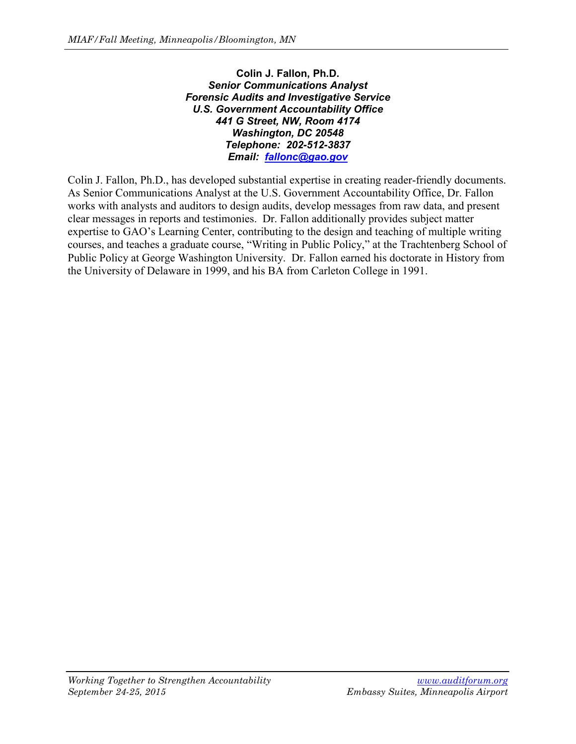**Colin J. Fallon, Ph.D.** *Senior Communications Analyst Forensic Audits and Investigative Service U.S. Government Accountability Office 441 G Street, NW, Room 4174 Washington, DC 20548 Telephone: 202-512-3837 Email: [fallonc@gao.gov](mailto:fallonc@gao.gov)*

Colin J. Fallon, Ph.D., has developed substantial expertise in creating reader-friendly documents. As Senior Communications Analyst at the U.S. Government Accountability Office, Dr. Fallon works with analysts and auditors to design audits, develop messages from raw data, and present clear messages in reports and testimonies. Dr. Fallon additionally provides subject matter expertise to GAO's Learning Center, contributing to the design and teaching of multiple writing courses, and teaches a graduate course, "Writing in Public Policy," at the Trachtenberg School of Public Policy at George Washington University. Dr. Fallon earned his doctorate in History from the University of Delaware in 1999, and his BA from Carleton College in 1991.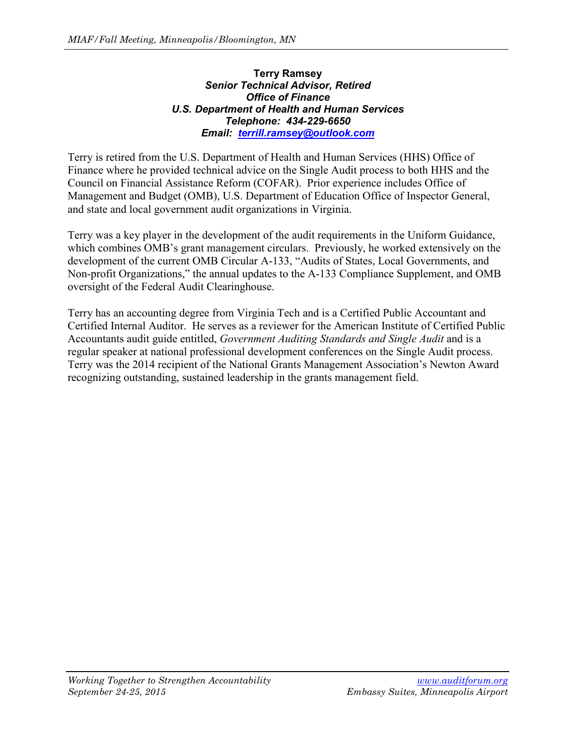# **Terry Ramsey** *Senior Technical Advisor, Retired Office of Finance U.S. Department of Health and Human Services Telephone: 434-229-6650 Email: [terrill.ramsey@outlook.com](mailto:terrill.ramsey@outlook.com)*

Terry is retired from the U.S. Department of Health and Human Services (HHS) Office of Finance where he provided technical advice on the Single Audit process to both HHS and the Council on Financial Assistance Reform (COFAR). Prior experience includes Office of Management and Budget (OMB), U.S. Department of Education Office of Inspector General, and state and local government audit organizations in Virginia.

Terry was a key player in the development of the audit requirements in the Uniform Guidance, which combines OMB's grant management circulars. Previously, he worked extensively on the development of the current OMB Circular A-133, "Audits of States, Local Governments, and Non-profit Organizations," the annual updates to the A-133 Compliance Supplement, and OMB oversight of the Federal Audit Clearinghouse.

Terry has an accounting degree from Virginia Tech and is a Certified Public Accountant and Certified Internal Auditor. He serves as a reviewer for the American Institute of Certified Public Accountants audit guide entitled, *Government Auditing Standards and Single Audit* and is a regular speaker at national professional development conferences on the Single Audit process. Terry was the 2014 recipient of the National Grants Management Association's Newton Award recognizing outstanding, sustained leadership in the grants management field.